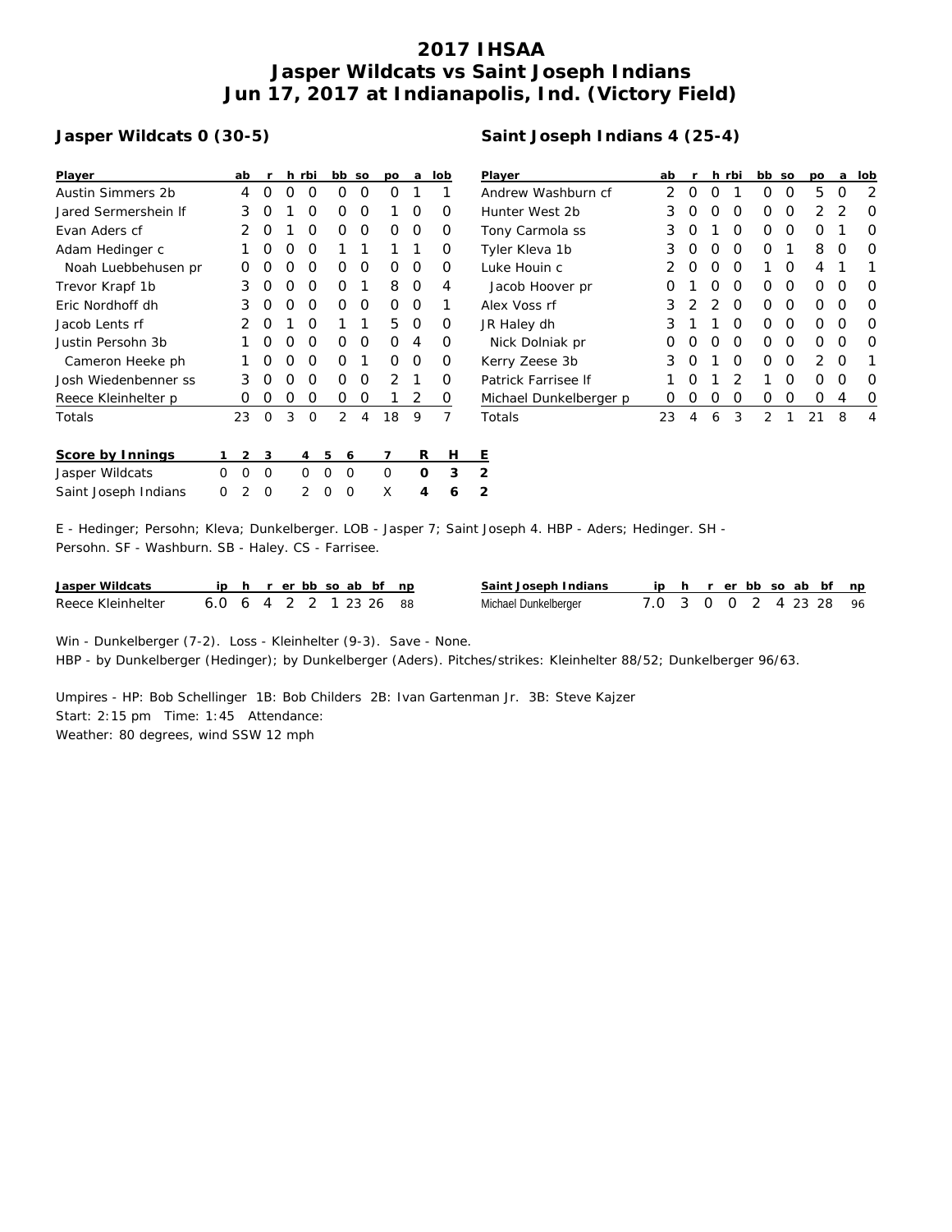## **2017 IHSAA Jasper Wildcats vs Saint Joseph Indians Jun 17, 2017 at Indianapolis, Ind. (Victory Field)**

## **Jasper Wildcats 0 (30-5)**

| Player               |   | ab | r        |          | h rbi |   | bb             | SO | DО             | a | lob            | P                       |
|----------------------|---|----|----------|----------|-------|---|----------------|----|----------------|---|----------------|-------------------------|
| Austin Simmers 2b    |   | 4  | ∩        | Ω        | Ω     |   | Ο              | Ω  | Ω              | 1 | 1              | А                       |
| Jared Sermershein If |   | 3  | Ο        | 1        | Ο     |   | Ω              | Ω  | 1              | Ο | Ω              | Н                       |
| Evan Aders cf        |   | 2  | Ο        | 1        | O     |   | Ο              | O  | Ω              | Ο | Ο              | Τ                       |
| Adam Hedinger c      |   | 1  | Ω        | O        | O     |   | 1              |    | 1              | 1 | Ω              | Τ                       |
| Noah Luebbehusen pr  |   | Ο  | Ω        | O        | Ο     |   | Ω              | O  | Ω              | Ω | O              | L                       |
| Trevor Krapf 1b      |   | 3  | Ο        | O        | Ο     |   | Ο              | 1  | 8              | Ο | 4              |                         |
| Eric Nordhoff dh     |   | 3  | Ο        | O        | Ο     |   | Ο              | O  | Ο              | Ο | 1              | А                       |
| Jacob Lents rf       |   | 2  | O        | 1        | O     |   | 1              | 1  | 5              | Ο | O              | J                       |
| Justin Persohn 3b    |   | 1  | ∩        | $\Omega$ | O     |   | O              | ∩  | O              | 4 | O              |                         |
| Cameron Heeke ph     |   | 1  | ∩        | $\Omega$ | O     |   | Ω              | 1  | ∩              | Ω | O              | К                       |
| Josh Wiedenbenner ss |   | 3  | Ω        | O        | Ω     |   | ∩              | Ω  | $\overline{2}$ | 1 | Ω              | P                       |
| Reece Kleinhelter p  |   | Ο  | O        | 0        | O     |   | O              | Ο  | 1              | 2 | 0              | $\overline{\mathbb{R}}$ |
| Totals               |   | 23 | $\Omega$ | 3        | O     |   | $\overline{2}$ | 4  | 18             | 9 | $\overline{7}$ | T                       |
| Score by Innings     | 1 | 2  | 3        |          | 4     | 5 | 6              |    | 7              | R | Н              | Ε                       |
| Jasper Wildcats      | O | Ω  | $\Omega$ |          | Ω     | O | O              |    | O              | Ω | 3              | $\overline{2}$          |
| Saint Joseph Indians | Ω | 2  | Ω        |          | 2     | Ω | Ω              |    | X              | 4 | 6              | 2                       |
|                      |   |    |          |          |       |   |                |    |                |   |                |                         |

| Player             | ab            | r                |               | h rbi            | bb so |                  | po               | a  | lob |
|--------------------|---------------|------------------|---------------|------------------|-------|------------------|------------------|----|-----|
| Andrew Washburn cf |               |                  | Ω             | 1                | Ο     | O                | 5                | O  | 2   |
| Hunter West 2b     | 3             | O                | O             | O                | Ω     | O                | 2                | -2 | Ο   |
| Tony Carmola ss    | 3             | $\left( \right)$ | 1             | $\left( \right)$ | Ω     | $\left( \right)$ | $\left( \right)$ | 1  | Ο   |
| Tyler Kleva 1b     | 3             | O                | O             | O                | O     | 1                | 8                | O  | Ο   |
| Luke Houin c       | $\mathcal{P}$ | O                | O             | O                | 1     | O                | 4                | 1  | 1   |
| Jacob Hoover pr    |               |                  | O             | O                | 0     | O                | Ω                | O  | Ω   |
| Alex Voss rf       | 3             |                  | $\mathcal{L}$ | O                | Ω     | O                | Ω                | O  | O   |
| JR Haley dh        | 3             |                  | 1             | $\left( \right)$ | Ω     | $\left( \right)$ | Ω                | O  | Ο   |
| Nick Dolniak pr    |               |                  |               |                  |       | Ω                |                  | O  | Ω   |
|                    |               |                  |               |                  |       |                  |                  |    |     |

Kerry Zeese 3b 3 0 1 0 0 0 2 0 1 Patrick Farrisee If 1 0 1 2 1 0 0 0 0 Michael Dunkelberger p 0 0 0 0 0 0 0 4 0 Totals 23 4 6 3 2 1 21 8 4

E - Hedinger; Persohn; Kleva; Dunkelberger. LOB - Jasper 7; Saint Joseph 4. HBP - Aders; Hedinger. SH - Persohn. SF - Washburn. SB - Haley. CS - Farrisee.

| Jasper Wildcats   |               |  |  |  | ip h r erbb so ab bf np | Saint Joseph Indians | iph rerbbsoab bf np    |  |  |  |  |
|-------------------|---------------|--|--|--|-------------------------|----------------------|------------------------|--|--|--|--|
| Reece Kleinhelter | 6064221232688 |  |  |  |                         | Michael Dunkelberger | 7.0 3 0 0 2 4 23 28 96 |  |  |  |  |

Win - Dunkelberger (7-2). Loss - Kleinhelter (9-3). Save - None. HBP - by Dunkelberger (Hedinger); by Dunkelberger (Aders). Pitches/strikes: Kleinhelter 88/52; Dunkelberger 96/63.

Umpires - HP: Bob Schellinger 1B: Bob Childers 2B: Ivan Gartenman Jr. 3B: Steve Kajzer Start: 2:15 pm Time: 1:45 Attendance: Weather: 80 degrees, wind SSW 12 mph

## **Saint Joseph Indians 4 (25-4)**